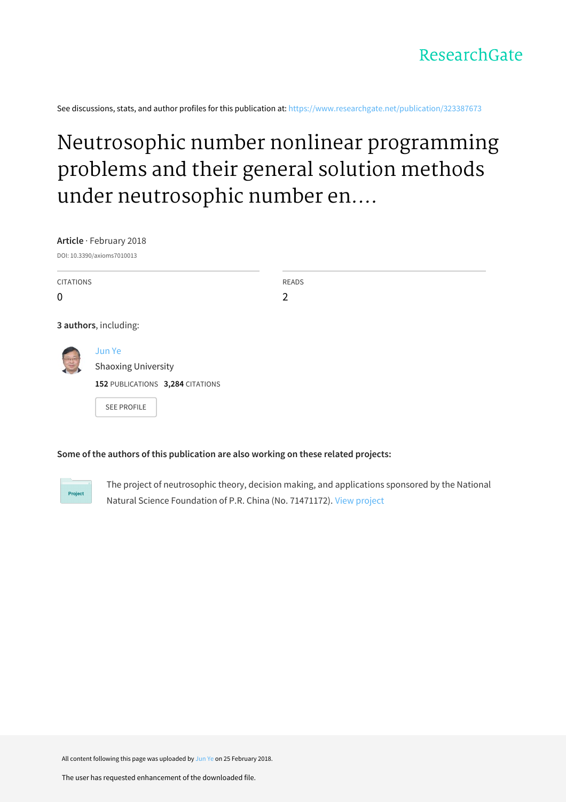See discussions, stats, and author profiles for this publication at: [https://www.researchgate.net/publication/323387673](https://www.researchgate.net/publication/323387673_Neutrosophic_number_nonlinear_programming_problems_and_their_general_solution_methods_under_neutrosophic_number_environments?enrichId=rgreq-20e6bdb6d268710fa75afb567fc968dd-XXX&enrichSource=Y292ZXJQYWdlOzMyMzM4NzY3MztBUzo1OTc3NzUyOTMwOTU5MzhAMTUxOTUzMjE0NDYzMQ%3D%3D&el=1_x_2&_esc=publicationCoverPdf)

# Neutrosophic number nonlinear programming problems and their general solution methods under neutrosophic number en....

**Article** · February 2018 DOI: 10.3390/axioms7010013

| <b>CITATIONS</b><br>$\mathbf 0$ |                                                                          | <b>READS</b><br>$\overline{2}$ |
|---------------------------------|--------------------------------------------------------------------------|--------------------------------|
| 3 authors, including:           |                                                                          |                                |
|                                 | Jun Ye<br><b>Shaoxing University</b><br>152 PUBLICATIONS 3,284 CITATIONS |                                |
|                                 | <b>SEE PROFILE</b>                                                       |                                |

### **Some of the authors of this publication are also working on these related projects:**

Project

The project of neutrosophic theory, decision making, and applications sponsored by the National Natural Science Foundation of P.R. China (No. 71471172). View [project](https://www.researchgate.net/project/The-project-of-neutrosophic-theory-decision-making-and-applications-sponsored-by-the-National-Natural-Science-Foundation-of-PR-China-No-71471172?enrichId=rgreq-20e6bdb6d268710fa75afb567fc968dd-XXX&enrichSource=Y292ZXJQYWdlOzMyMzM4NzY3MztBUzo1OTc3NzUyOTMwOTU5MzhAMTUxOTUzMjE0NDYzMQ%3D%3D&el=1_x_9&_esc=publicationCoverPdf)

All content following this page was uploaded by [Jun](https://www.researchgate.net/profile/Jun_Ye3?enrichId=rgreq-20e6bdb6d268710fa75afb567fc968dd-XXX&enrichSource=Y292ZXJQYWdlOzMyMzM4NzY3MztBUzo1OTc3NzUyOTMwOTU5MzhAMTUxOTUzMjE0NDYzMQ%3D%3D&el=1_x_10&_esc=publicationCoverPdf) Ye on 25 February 2018.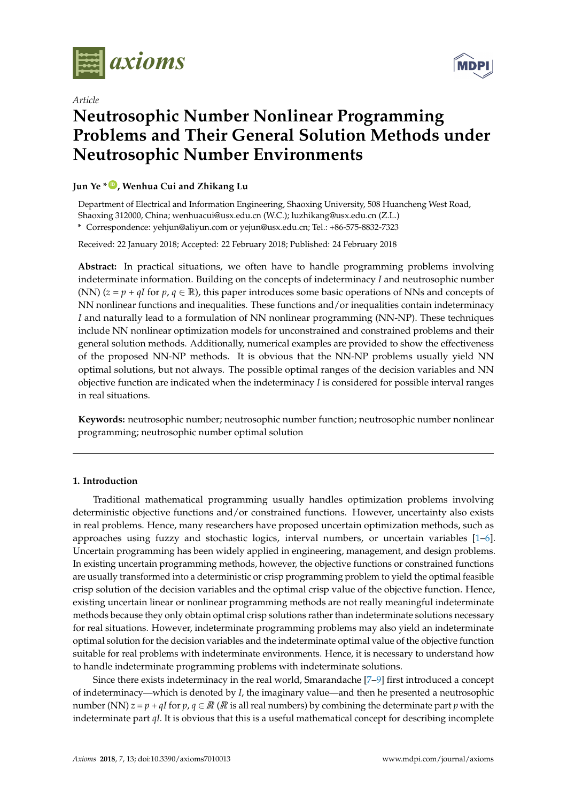

*Article*

# **Neutrosophic Number Nonlinear Programming Problems and Their General Solution Methods under Neutrosophic Number Environments**

## **Jun Ye \* [ID](https://orcid.org/0000-0003-2841-6529) , Wenhua Cui and Zhikang Lu**

Department of Electrical and Information Engineering, Shaoxing University, 508 Huancheng West Road, Shaoxing 312000, China; wenhuacui@usx.edu.cn (W.C.); luzhikang@usx.edu.cn (Z.L.) **\*** Correspondence: yehjun@aliyun.com or yejun@usx.edu.cn; Tel.: +86-575-8832-7323

Received: 22 January 2018; Accepted: 22 February 2018; Published: 24 February 2018

**Abstract:** In practical situations, we often have to handle programming problems involving indeterminate information. Building on the concepts of indeterminacy *I* and neutrosophic number (NN)  $(z = p + qI$  for  $p, q \in \mathbb{R}$ ), this paper introduces some basic operations of NNs and concepts of NN nonlinear functions and inequalities. These functions and/or inequalities contain indeterminacy *I* and naturally lead to a formulation of NN nonlinear programming (NN-NP). These techniques include NN nonlinear optimization models for unconstrained and constrained problems and their general solution methods. Additionally, numerical examples are provided to show the effectiveness of the proposed NN-NP methods. It is obvious that the NN-NP problems usually yield NN **Problems and Their General Solution Methods under Problems and Their General Solution Methods under**  optimal solutions, but not always. The possible optimal ranges of the decision variables and NN opumar solutions, but not always. The possible opumar ranges of the decision variables and iviv<br>objective function are indicated when the indeterminacy *I* is considered for possible interval ranges in real situations.

Keywords: neutrosophic number; neutrosophic number function; neutrosophic number nonlinear programming; neutrosophic number optimal solution  $\frac{1}{2}$  $\mathbb{R}$  and  $\mathbb{R}$  312000, China; wenchuacui $\mathbb{R}$  $\epsilon$ <sup>1</sup>  $\epsilon$ <sup>2</sup>  $\epsilon$ <sup>3</sup>  $\epsilon$ <sup>3</sup> $\epsilon$ <sup>3</sup> $\epsilon$ <sup>3</sup> $\epsilon$ <sup>3</sup> $\epsilon$ <sup>3</sup> $\epsilon$ <sup>3</sup> $\epsilon$ <sup>3</sup> $\epsilon$ <sup>3</sup> $\epsilon$ <sup>3</sup> $\epsilon$ <sup>3</sup> $\epsilon$ <sup>3</sup>

Received: 22 January 2018; Accepted: 22 February 2018; Published: 24 February 2018

Received: 22 January 2018; Accepted: 22 February 2018; Published: 24 February 2018

#### **1. Introduction**

Traditional mathematical programming usually handles optimization problems involving deterministic objective functions and/or constrained functions. However, uncertainty also exists in real problems. Hence, many researchers have proposed uncertain optimization methods, such as approaches using fuzzy and stochastic logics, interval numbers, or uncertain variables  $[1-6]$  $[1-6]$ . Uncertain programming has been widely applied in engineering, management, and design problems. In existing uncertain programming methods, however, the objective functions or constrained functions are usually transformed into a deterministic or crisp programming problem to yield the optimal feasible crisp solution of the decision variables and the optimal crisp value of the objective function. Hence, existing uncertain linear or nonlinear programming methods are not really meaningful indeterminate methods because they only obtain optimal crisp solutions rather than indeterminate solutions necessary for real situations. However, indeterminate programming problems may also yield an indeterminate optimal solution for the decision variables and the indeterminate optimal value of the objective function suitable for real problems with indeterminate environments. Hence, it is necessary to understand how to handle indeterminate programming problems with indeterminate solutions. problems and the their general solution methods. And the property of the property are provided to provide the provided to the provided to the provided to the provided to the provided to the provided to the provided to the  $\Gamma$  techniques include  $\Gamma$  non-linear optimization models for unconstrained and constrained and constrained and constrained and constrained and constrained and constrained and constrained and constrained and constrained problems and the their general solution methods. Additional examples are provided to  $\mu$ 

Since there exists indeterminacy in the real world, Smarandache [\[7](#page-9-0)[–9\]](#page-9-1) first introduced a concept of indeterminacy—which is denoted by *I*, the imaginary value—and then he presented a neutrosophic number (NN)  $z = p + qI$  for  $p, q \in \mathbb{R}$  ( $\mathbb{R}$  is all real numbers) by combining the determinate part  $p$  with the indeterminate part *qI*. It is obvious that this is a useful mathematical concept for describing incomplete

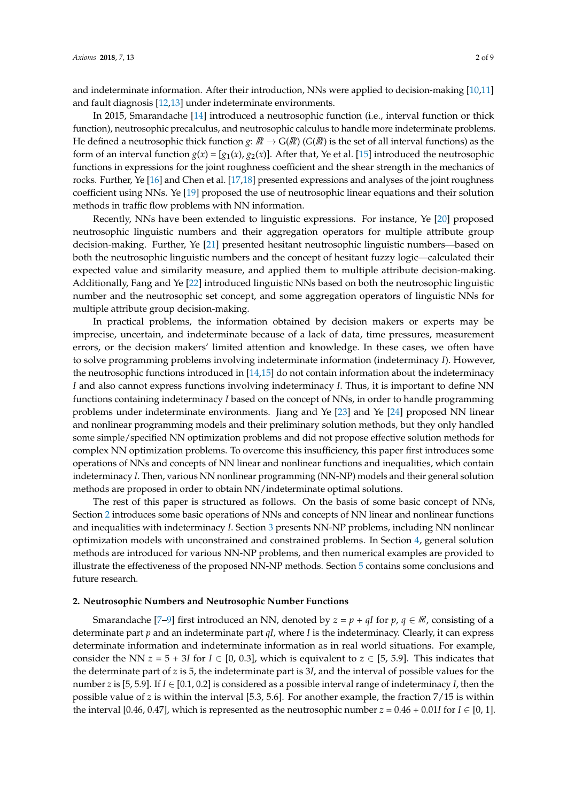and indeterminate information. After their introduction, NNs were applied to decision-making [\[10,](#page-9-2)[11\]](#page-9-3) and fault diagnosis [\[12](#page-9-4)[,13\]](#page-9-5) under indeterminate environments.

In 2015, Smarandache [\[14\]](#page-9-6) introduced a neutrosophic function (i.e., interval function or thick function), neutrosophic precalculus, and neutrosophic calculus to handle more indeterminate problems. He defined a neutrosophic thick function  $g\colon\mathbb{R}\to\mathrm{G}(\mathbb{R})$  (G( $\mathbb{R}$ ) is the set of all interval functions) as the methods in traffic flow problems with NN information. **1. Introduction 1. Introduction**  form of an interval function  $g(x) = [g_1(x), g_2(x)]$ . After that, Ye et al. [\[15\]](#page-9-7) introduced the neutrosophic functions in expressions for the joint roughness coefficient and the shear strength in the mechanics of rocks. Further, Ye [\[16\]](#page-9-8) and Chen et al. [\[17,](#page-9-9)[18\]](#page-9-10) presented expressions and analyses of the joint roughness coefficient using NNs. Ye [\[19\]](#page-9-11) proposed the use of neutrosophic linear equations and their solution

neutrosophic linguistic numbers and their aggregation operators for multiple attribute group  $\frac{d}{dt}$  because functions and or constructions and or constructions. However, uncertainty also exists in  $\frac{d}{dt}$ real problems. Hence, many researchers have proposed uncertain optimization methods, such as both the neutrosophic linguistic numbers and the concept of hesitant fuzzy logic—calculated their expected value and similarity measure, and applied them to multiple attribute decision-making.<br>A little and  $\Gamma$  and  $\Gamma$  and  $\Gamma$  and  $\Gamma$  and  $\Gamma$  and  $\Gamma$  and  $\Gamma$  and  $\Gamma$  and  $\Gamma$  and  $\Gamma$  and  $\Gamma$  and  $\Gamma$  and  $\Gamma$  a Additionally, Fang and Ye [\[22\]](#page-9-14) introduced linguistic NNs based on both the neutrosophic linguistic Additionally, rang and te  $[22]$  introduced imguistic ivity based on both the neutrosophic imguistic<br>number and the neutrosophic set concept, and some aggregation operators of linguistic NNs for  $\begin{array}{c} 0 & 1 \\ \text{and} \end{array}$ real problems. Hence, many researchers have proposed uncertain optimization methods, such as  $\mathcal{L}_1$ deterministic objective functions and/or constrained functions. However, uncertainty also exists in decision-making. Further, Ye [\[21\]](#page-9-13) presented hesitant neutrosophic linguistic numbers—based on Recently, NNs have been extended to linguistic expressions. For instance, Ye [\[20\]](#page-9-12) proposed multiple attribute group decision-making.

to solve programming problems involving indeterminate information (indeterminacy I). However, In practical problems, the information obtained by decision makers or experts may be imprecise, uncertain, and indeterminate because of a lack of data, time pressures, measurement errors, or the decision makers' limited attention and knowledge. In these cases, we often have the neutrosophic functions introduced in [\[14,](#page-9-6)[15\]](#page-9-7) do not contain information about the indeterminacy *I* and also cannot express functions involving indeterminacy *I*. Thus, it is important to define NN functions containing indeterminacy *I* based on the concept of NNs, in order to handle programming problems under indeterminate environments. Jiang and Ye [\[23\]](#page-9-15) and Ye [\[24\]](#page-9-16) proposed NN linear and nonlinear programming models and their preliminary solution methods, but they only handled some simple/specified NN optimization problems and did not propose effective solution methods for complex NN optimization problems. To overcome this insufficiency, this paper first introduces some problems of NNs and concepts of NN linear and nonlinear functions and inequalities, which contain indeterminacy *I*. Then, various NN nonlinear programming (NN-NP) models and their general solution methods are proposed in order to obtain NN/indeterminate optimal solutions.  $\mathcal{S}_t$ , we onen have  $R = \frac{2}{3}$   $\frac{2}{3}$ ;  $R = \frac{2}{3}$  February 2018; Published: 24 February 2018; Published: 24 February 2018; Published: 24 February 2018; Published: 24 February 2018; Published: 24 February 2018; Published: 24 February 201  $\frac{1}{1}$  is the problems. It is obvious that the NN-NP problems. It is obvious that the NN-NP problems that the NN-NP problems that the NN-NP problems that the NN-NP problems that the NN-NP problems that the NN-NP proble n general solution

The rest of this paper is structured as follows. On the basis of some basic concept of NNs, Section [2](#page-2-0) introduces some basic operations of NNs and concepts of NN linear and nonlinear functions and inequalities with indeterminacy *I*. Section [3](#page-3-0) presents NN-NP problems, including NN nonlinear optimization models with unconstrained and constrained problems. In Section [4,](#page-4-0) general solution methods are introduced for various NN-NP problems, and then numerical examples are provided to illustrate the effectiveness of the proposed NN-NP methods. Section [5](#page-8-2) contains some conclusions and future research.

#### <span id="page-2-0"></span>**2. Neutrosophic Numbers and Neutrosophic Number Functions**

Smarandache [\[7](#page-9-0)[–9\]](#page-9-1) first introduced an NN, denoted by  $z = p + qI$  for  $p, q \in \mathbb{R}$ , consisting of a number *z* is [5, 5.9]. If *I* ∈ [0.1, 0.2] is considered as a possible interval range of indeterminacy *I*, then the If for  $I \subset [0, 1]$  $d = \frac{1}{2}$  or constraints and or constraints in constraints. However, uncertainty also exists in  $\frac{1}{2}$ determinate part *p* and an indeterminate part *qI*, where *I* is the indeterminacy. Clearly, it can express determinate information and indeterminate information as in real world situations. For example, consider the NN  $z = 5 + 3I$  for  $I \in [0, 0.3]$ , which is equivalent to  $z \in [5, 5.9]$ . This indicates that the determinate part of *z* is 5, the indeterminate part is 3*I*, and the interval of possible values for the possible value of *z* is within the interval [5.3, 5.6]. For another example, the fraction 7/15 is within the interval [0.46, 0.47], which is represented as the neutrosophic number  $z = 0.46 + 0.01$ *I* for  $I \in [0, 1]$ .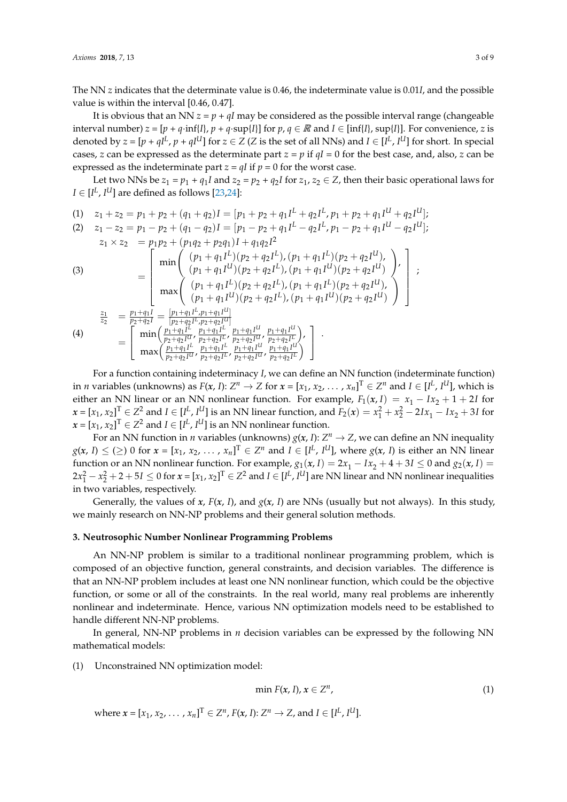The NN *z* indicates that the determinate value is 0.46, the indeterminate value is 0.01*I*, and the possible value is within the interval [0.46, 0.47].

It is obvious that an NN  $z = p + qI$  may be considered as the possible interval range (changeable interval number)  $z = [p + q \cdot inf\{I\}, p + q \cdot sup\{I\}]$  for  $p, q \in \mathbb{R}$  and  $I \in [inf\{I\}, supp\{I\}]$ . For convenience, *z* is denoted by  $z = [p + qI^L, p + qI^U]$  for  $z \in Z$  (Z is the set of all NNs) and  $I \in [I^L, I^U]$  for short. In special cases, *z* can be expressed as the determinate part  $z = p$  if  $qI = 0$  for the best case, and, also, *z* can be expressed as the indeterminate part  $z = qI$  if  $p = 0$  for the worst case.

Let two NNs be  $z_1 = p_1 + q_1I$  and  $z_2 = p_2 + q_2I$  for  $z_1, z_2 \in Z$ , then their basic operational laws for  $I \in [I^L, I^U]$  are defined as follows [\[23,](#page-9-15)[24\]](#page-9-16):

$$
(1) \quad z_1 + z_2 = p_1 + p_2 + (q_1 + q_2)I = [p_1 + p_2 + q_1I^L + q_2I^L, p_1 + p_2 + q_1I^U + q_2I^U];
$$

(2) 
$$
z_1 - z_2 = p_1 - p_2 + (q_1 - q_2)I = [p_1 - p_2 + q_1I^L - q_2I^L, p_1 - p_2 + q_1I^U - q_2I^U]
$$
;  
\n $z_1 \times z_2 = p_1p_2 + (p_1q_2 + p_2q_1)I + q_1q_2I^2$   
\n(3)  
\n
$$
= \begin{bmatrix}\n\min\left(\begin{array}{c} (p_1 + q_1I^L)(p_2 + q_2I^L), (p_1 + q_1I^L)(p_2 + q_2I^U), \\ (p_1 + q_1I^U)(p_2 + q_2I^L), (p_1 + q_1I^U)(p_2 + q_2I^U) \end{array}\right), \\
\max\left(\begin{array}{c} (p_1 + q_1I^L)(p_2 + q_2I^L), (p_1 + q_1I^L)(p_2 + q_2I^U), \\ (p_1 + q_1I^U)(p_2 + q_2I^L), (p_1 + q_1I^U)(p_2 + q_2I^U) \end{array}\right)\n\end{bmatrix}
$$
\n(4)  
\n
$$
= \begin{bmatrix}\n\frac{z_1}{p_2 + q_1I} = \frac{[p_1 + q_1I^L, p_1 + q_1I^U]}{[p_2 + q_2I^L, p_2 + q_2I^U]} \\
\min\left(\frac{p_1 + q_1I^L}{p_2 + q_2I^U}, \frac{p_1 + q_1I^U}{p_2 + q_2I^U}, \frac{p_1 + q_1I^U}{p_2 + q_2I^U}, \frac{p_1 + q_1I^U}{p_2 + q_2I^U}\right), \\
\max\left(\frac{p_1 + q_1I^L}{p_2 + q_2I^U}, \frac{p_1 + q_1I^U}{p_2 + q_2I^U}, \frac{p_1 + q_1I^U}{p_2 + q_2I^U}, \frac{p_1 + q_1I^U}{p_2 + q_2I^U}\right)\n\end{bmatrix}
$$

For a function containing indeterminacy *I*, we can define an NN function (indeterminate function) in *n* variables (unknowns) as  $F(x, I)$ :  $Z^n \to Z$  for  $x = [x_1, x_2, \ldots, x_n]^T \in Z^n$  and  $I \in [I^L, I^U]$ , which is either an NN linear or an NN nonlinear function. For example,  $F_1(x, I) = x_1 - Ix_2 + 1 + 2I$  for  $x = [x_1, x_2]^T \in Z^2$  and  $I \in [I^L, I^U]$  is an NN linear function, and  $F_2(x) = x_1^2 + x_2^2 - 2Ix_1 - Ix_2 + 3I$  for  $\boldsymbol{x} = [x_1, x_2]^T \in \mathbb{Z}^2$  and  $I \in [I^L, I^U]$  is an NN nonlinear function.

For an NN function in *n* variables (unknowns)  $g(x, I)$ :  $Z^n \to Z$ , we can define an NN inequality  $g(x, I) \leq (\geq) 0$  for  $x = [x_1, x_2, \ldots, x_n]^T \in Z^n$  and  $I \in [I^L, I^U]$ , where  $g(x, I)$  is either an NN linear function or an NN nonlinear function. For example,  $g_1(x, I) = 2x_1 - Ix_2 + 4 + 3I \le 0$  and  $g_2(x, I) =$  $2x_1^2 - x_2^2 + 2 + 5I \le 0$  for  $x = [x_1, x_2]^T \in \mathbb{Z}^2$  and  $I \in [I^L, I^U]$  are NN linear and NN nonlinear inequalities in two variables, respectively.

Generally, the values of  $x$ ,  $F(x, I)$ , and  $g(x, I)$  are NNs (usually but not always). In this study, we mainly research on NN-NP problems and their general solution methods.

#### <span id="page-3-0"></span>**3. Neutrosophic Number Nonlinear Programming Problems**

An NN-NP problem is similar to a traditional nonlinear programming problem, which is composed of an objective function, general constraints, and decision variables. The difference is that an NN-NP problem includes at least one NN nonlinear function, which could be the objective function, or some or all of the constraints. In the real world, many real problems are inherently nonlinear and indeterminate. Hence, various NN optimization models need to be established to handle different NN-NP problems.

In general, NN-NP problems in *n* decision variables can be expressed by the following NN mathematical models:

(1) Unconstrained NN optimization model:

$$
\min F(x, I), x \in \mathbb{Z}^n, \tag{1}
$$

where  $x = [x_1, x_2, \ldots, x_n]^T \in Z^n$ ,  $F(x, I): Z^n \to Z$ , and  $I \in [I^L, I^U]$ .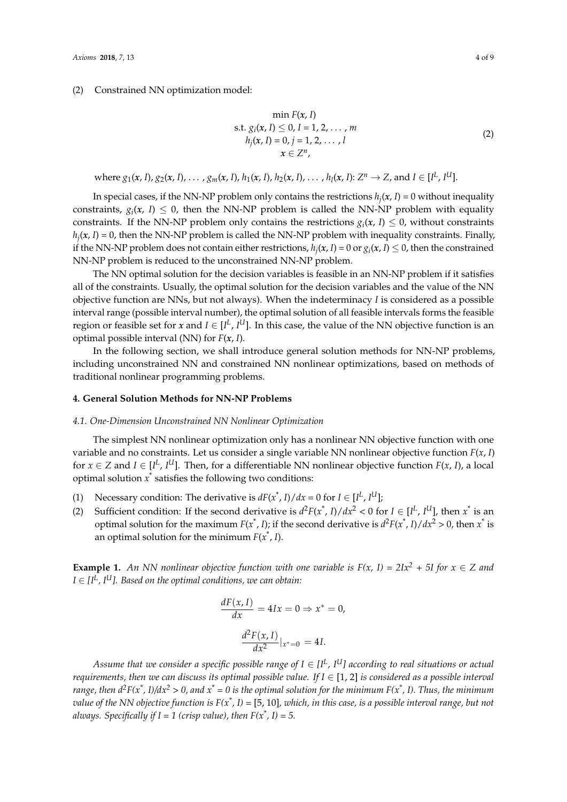#### (2) Constrained NN optimization model:

$$
\min F(x, I) \ns.t. gi(x, I) \le 0, I = 1, 2, ..., m \nhj(x, I) = 0, j = 1, 2, ..., l \n x \in Zn,
$$
\n(2)

where  $g_1(x, I)$ ,  $g_2(x, I)$ , ...,  $g_m(x, I)$ ,  $h_1(x, I)$ ,  $h_2(x, I)$ , ...,  $h_l(x, I)$ :  $Z^n \to Z$ , and  $I \in [I^L, I^U]$ .

In special cases, if the NN-NP problem only contains the restrictions  $h_j(x, I) = 0$  without inequality constraints,  $g_i(x, I) \leq 0$ , then the NN-NP problem is called the NN-NP problem with equality constraints. If the NN-NP problem only contains the restrictions  $g_i(x, I) \leq 0$ , without constraints *hj* (*x*, *I*) = 0, then the NN-NP problem is called the NN-NP problem with inequality constraints. Finally, if the NN-NP problem does not contain either restrictions,  $h_j(x, I) = 0$  or  $g_i(x, I) \le 0$ , then the constrained NN-NP problem is reduced to the unconstrained NN-NP problem.

The NN optimal solution for the decision variables is feasible in an NN-NP problem if it satisfies all of the constraints. Usually, the optimal solution for the decision variables and the value of the NN objective function are NNs, but not always). When the indeterminacy *I* is considered as a possible interval range (possible interval number), the optimal solution of all feasible intervals forms the feasible region or feasible set for *x* and  $I \in [I^L, I^U]$ . In this case, the value of the NN objective function is an optimal possible interval (NN) for *F*(*x*, *I*).

In the following section, we shall introduce general solution methods for NN-NP problems, including unconstrained NN and constrained NN nonlinear optimizations, based on methods of traditional nonlinear programming problems.

#### <span id="page-4-0"></span>**4. General Solution Methods for NN-NP Problems**

#### *4.1. One-Dimension Unconstrained NN Nonlinear Optimization*

The simplest NN nonlinear optimization only has a nonlinear NN objective function with one variable and no constraints. Let us consider a single variable NN nonlinear objective function *F*(*x*, *I*) for  $x \in Z$  and  $I \in [I^L, I^U]$ . Then, for a differentiable NN nonlinear objective function  $F(x, I)$ , a local optimal solution  $x^*$  satisfies the following two conditions:

- (1) Necessary condition: The derivative is  $dF(x^*, I)/dx = 0$  for  $I \in [I^L, I^U]$ ;
- (2) Sufficient condition: If the second derivative is  $d^2F(x^*, I)/dx^2 < 0$  for  $I \in [I^L, I^U]$ , then  $x^*$  is an optimal solution for the maximum  $F(x^*, I)$ ; if the second derivative is  $d^2F(x^*, I)/dx^2 > 0$ , then  $x^*$  is an optimal solution for the minimum  $F(x^*, I)$ .

**Example 1.** An NN nonlinear objective function with one variable is  $F(x, I) = 2Ix^2 + 5I$  for  $x \in Z$  and *I* ∈ *[I<sup>L</sup> , IU]. Based on the optimal conditions, we can obtain:*

$$
\frac{dF(x, I)}{dx} = 4Ix = 0 \Rightarrow x^* = 0,
$$

$$
\frac{d^2F(x, I)}{dx^2}|_{x^* = 0} = 4I.
$$

*Assume that we consider a specific possible range of I* ∈ *[I<sup>L</sup> , IU] according to real situations or actual requirements, then we can discuss its optimal possible value. If*  $I \in [1, 2]$  *is considered as a possible interval range, then d2F(x\* , I)/dx<sup>2</sup> > 0, and x\* = 0 is the optimal solution for the minimum F(x\* , I). Thus, the minimum value of the NN objective function is F(x\* , I) =* [5, 10]*, which, in this case, is a possible interval range, but not always. Specifically if I = 1 (crisp value), then F(x\* , I) = 5.*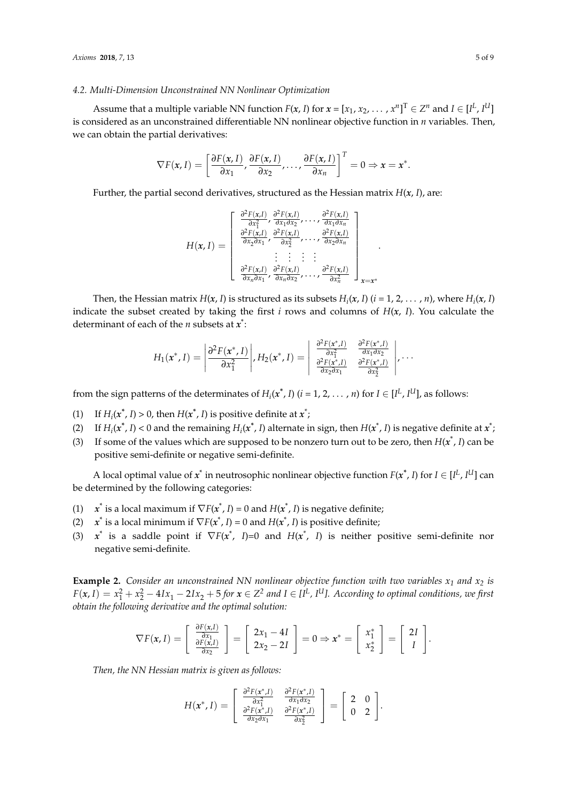#### *4.2. Multi-Dimension Unconstrained NN Nonlinear Optimization*

Assume that a multiple variable NN function  $F(x, I)$  for  $x = [x_1, x_2, \ldots, x^n]^T \in Z^n$  and  $I \in [I^L, I^U]$ is considered as an unconstrained differentiable NN nonlinear objective function in *n* variables. Then, we can obtain the partial derivatives:

$$
\nabla F(x, I) = \left[ \frac{\partial F(x, I)}{\partial x_1}, \frac{\partial F(x, I)}{\partial x_2}, \dots, \frac{\partial F(x, I)}{\partial x_n} \right]^T = 0 \Rightarrow x = x^*.
$$

Further, the partial second derivatives, structured as the Hessian matrix *H*(*x*, *I*), are:

$$
H(\boldsymbol{x}, I) = \begin{bmatrix} \frac{\partial^2 F(\boldsymbol{x}, I)}{\partial x_1^2}, \frac{\partial^2 F(\boldsymbol{x}, I)}{\partial x_1 \partial x_2}, \dots, \frac{\partial^2 F(\boldsymbol{x}, I)}{\partial x_1 \partial x_n} \\ \frac{\partial^2 F(\boldsymbol{x}, I)}{\partial x_2 \partial x_1}, \frac{\partial^2 F(\boldsymbol{x}, I)}{\partial x_2^2}, \dots, \frac{\partial^2 F(\boldsymbol{x}, I)}{\partial x_2 \partial x_n} \\ \vdots & \vdots & \vdots \\ \frac{\partial^2 F(\boldsymbol{x}, I)}{\partial x_n \partial x_1}, \frac{\partial^2 F(\boldsymbol{x}, I)}{\partial x_n \partial x_2}, \dots, \frac{\partial^2 F(\boldsymbol{x}, I)}{\partial x_n^2} \end{bmatrix}_{\boldsymbol{x} = \boldsymbol{x}^*}
$$

Then, the Hessian matrix  $H(x, I)$  is structured as its subsets  $H_i(x, I)$   $(i = 1, 2, ..., n)$ , where  $H_i(x, I)$ indicate the subset created by taking the first *i* rows and columns of  $H(x, I)$ . You calculate the determinant of each of the *n* subsets at *x* \* :

$$
H_1(x^*,I) = \left| \frac{\partial^2 F(x^*,I)}{\partial x_1^2} \middle| , H_2(x^*,I) = \left| \begin{array}{cc} \frac{\partial^2 F(x^*,I)}{\partial x_1^2} & \frac{\partial^2 F(x^*,I)}{\partial x_1 \partial x_2} \\ \frac{\partial^2 F(x^*,I)}{\partial x_2 \partial x_1} & \frac{\partial^2 F(x^*,I)}{\partial x_2^2} \end{array} \right| , \ldots
$$

from the sign patterns of the determinates of  $H_i(x^*, I)$   $(i = 1, 2, ..., n)$  for  $I \in [I^L, I^U]$ , as follows:

- (1) If  $H_i(x^*, I) > 0$ , then  $H(x^*, I)$  is positive definite at  $x^*$ ;
- (2) If  $H_i(x^*, I) < 0$  and the remaining  $H_i(x^*, I)$  alternate in sign, then  $H(x^*, I)$  is negative definite at  $x^*$ ;
- (3) If some of the values which are supposed to be nonzero turn out to be zero, then  $H(x^*, I)$  can be positive semi-definite or negative semi-definite.

A local optimal value of  $x^*$  in neutrosophic nonlinear objective function  $F(x^*, I)$  for  $I \in [I^L, I^U]$  can be determined by the following categories:

- (1)  $x^*$  is a local maximum if  $\nabla F(x^*, I) = 0$  and  $H(x^*, I)$  is negative definite;
- (2)  $x^*$  is a local minimum if  $\nabla F(x^*, I) = 0$  and  $H(x^*, I)$  is positive definite;
- (3)  $x^*$  is a saddle point if  $\nabla F(x^*, I)=0$  and  $H(x^*, I)$  is neither positive semi-definite nor negative semi-definite.

**Example 2.** *Consider an unconstrained NN nonlinear objective function with two variables*  $x_1$  *and*  $x_2$  *is*  $F(x, I) = x_1^2 + x_2^2 - 4Ix_1 - 2Ix_2 + 5$  for  $x \in Z^2$  and  $I \in [I^L, I^U]$ . According to optimal conditions, we first *obtain the following derivative and the optimal solution:*

$$
\nabla F(x, I) = \left[ \begin{array}{c} \frac{\partial F(x, I)}{\partial x_1} \\ \frac{\partial F(x, I)}{\partial x_2} \end{array} \right] = \left[ \begin{array}{c} 2x_1 - 4I \\ 2x_2 - 2I \end{array} \right] = 0 \Rightarrow x^* = \left[ \begin{array}{c} x_1^* \\ x_2^* \end{array} \right] = \left[ \begin{array}{c} 2I \\ I \end{array} \right].
$$

*Then, the NN Hessian matrix is given as follows:*

$$
H(\boldsymbol{x}^*, I) = \begin{bmatrix} \frac{\partial^2 F(\boldsymbol{x}^*, I)}{\partial x_1^2} & \frac{\partial^2 F(\boldsymbol{x}^*, I)}{\partial x_1 \partial x_2} \\ \frac{\partial^2 F(\boldsymbol{x}^*, I)}{\partial x_2 \partial x_1} & \frac{\partial^2 F(\boldsymbol{x}^*, I)}{\partial x_2^2} \end{bmatrix} = \begin{bmatrix} 2 & 0 \\ 0 & 2 \end{bmatrix}.
$$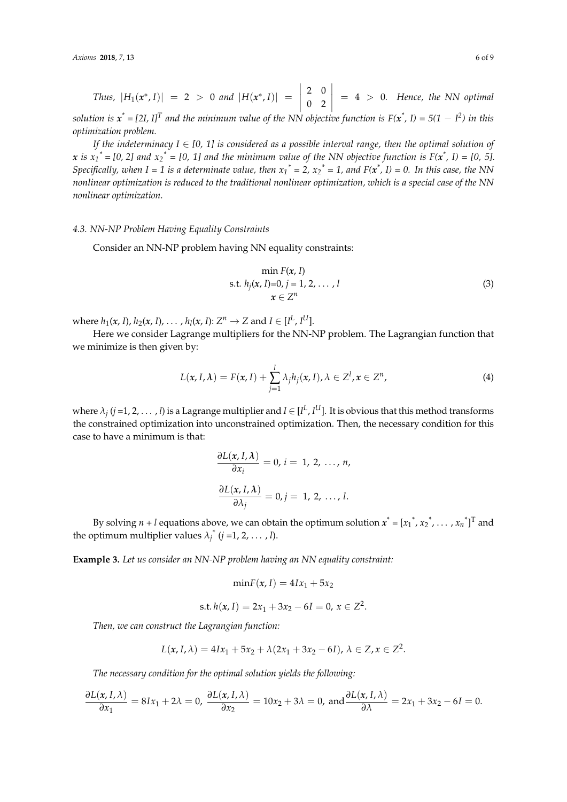Thus, 
$$
|H_1(x^*, I)| = 2 > 0
$$
 and  $|H(x^*, I)| = \begin{vmatrix} 2 & 0 \\ 0 & 2 \end{vmatrix} = 4 > 0$ . Hence, the NN optimal

*solution is*  $x^* = [2I, I]^T$  and the minimum value of the NN objective function is F( $x^*$ , I) = 5(1  $-$  I<sup>2</sup>) in this *optimization problem.*

*If the indeterminacy I*  $\in$  [0, 1] is considered as a possible interval range, then the optimal solution of *x* is  $x_1^* = [0, 2]$  and  $x_2^* = [0, 1]$  and the minimum value of the NN objective function is  $F(x^*, 1) = [0, 5]$ . *Specifically, when*  $I = 1$  *is a determinate value, then*  $x_1^* = 2$ ,  $x_2^* = 1$ , and  $F(x^*, I) = 0$ . In this case, the NN *nonlinear optimization is reduced to the traditional nonlinear optimization, which is a special case of the NN nonlinear optimization.*

#### *4.3. NN-NP Problem Having Equality Constraints*

Consider an NN-NP problem having NN equality constraints:

$$
\min F(x, I) \ns.t. h_j(x, I)=0, j = 1, 2, ..., l \n x \in Z^n
$$
\n(3)

where  $h_1(x, I)$ ,  $h_2(x, I)$ , ...,  $h_l(x, I): Z^n \to Z$  and  $I \in [I^L, I^U]$ .

Here we consider Lagrange multipliers for the NN-NP problem. The Lagrangian function that we minimize is then given by:

$$
L(x, I, \lambda) = F(x, I) + \sum_{j=1}^{l} \lambda_j h_j(x, I), \lambda \in Z^l, x \in Z^n,
$$
\n(4)

where  $\lambda_j$  ( $j$  =1, 2, . . . , *l*) is a Lagrange multiplier and  $I \in [I^L, I^U]$ . It is obvious that this method transforms the constrained optimization into unconstrained optimization. Then, the necessary condition for this case to have a minimum is that:

$$
\frac{\partial L(x, I, \lambda)}{\partial x_i} = 0, i = 1, 2, ..., n,
$$

$$
\frac{\partial L(x, I, \lambda)}{\partial \lambda_j} = 0, j = 1, 2, ..., l.
$$

By solving  $n + l$  equations above, we can obtain the optimum solution  $x^* = [x_1^*, x_2^*, \dots, x_n^*]^T$  and the optimum multiplier values  $\lambda_j^*$  ( $j = 1, 2, ..., l$ ).

**Example 3.** *Let us consider an NN-NP problem having an NN equality constraint:*

$$
\min F(x, I) = 4Ix_1 + 5x_2
$$
  
s.t.  $h(x, I) = 2x_1 + 3x_2 - 6I = 0, x \in \mathbb{Z}^2$ .

*Then, we can construct the Lagrangian function:*

$$
L(x, I, \lambda) = 4Ix_1 + 5x_2 + \lambda(2x_1 + 3x_2 - 6I), \lambda \in Z, x \in Z^2.
$$

*The necessary condition for the optimal solution yields the following:*

$$
\frac{\partial L(x, I, \lambda)}{\partial x_1} = 8Ix_1 + 2\lambda = 0, \quad \frac{\partial L(x, I, \lambda)}{\partial x_2} = 10x_2 + 3\lambda = 0, \text{ and } \frac{\partial L(x, I, \lambda)}{\partial \lambda} = 2x_1 + 3x_2 - 6I = 0.
$$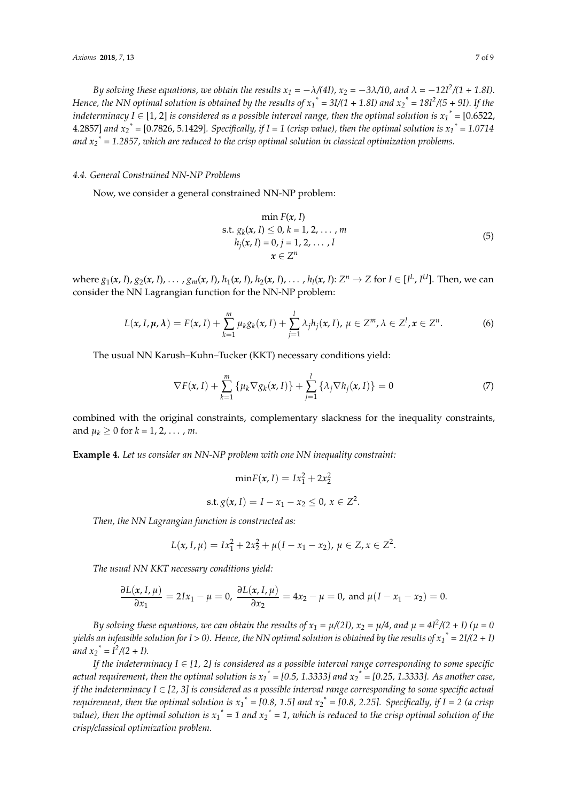*By solving these equations, we obtain the results*  $x_1 = -\lambda/(4I)$ *,*  $x_2 = -3\lambda/10$ *, and*  $\lambda = -12I^2/(1 + 1.8I)$ *. Hence, the NN optimal solution is obtained by the results of*  $x_1^* = 3I/(1 + 1.8I)$  *and*  $x_2^* = 18I^2/(5 + 9I)$ *. If the indeterminacy I*  $\in$  [1, 2] *is considered as a possible interval range, then the optimal solution is*  $x_1^*$  *= [0.6522,* 4.2857] *and x<sup>2</sup> \* =* [0.7826, 5.1429]*. Specifically, if I = 1 (crisp value), then the optimal solution is x<sup>1</sup> \* = 1.0714 and x<sup>2</sup> \* = 1.2857, which are reduced to the crisp optimal solution in classical optimization problems.*

#### *4.4. General Constrained NN-NP Problems*

Now, we consider a general constrained NN-NP problem:

$$
\min F(x, I) \ns.t. g_k(x, I) \le 0, k = 1, 2, ..., m \nh_j(x, I) = 0, j = 1, 2, ..., l \n x \in Z^n
$$
\n(5)

where  $g_1(x, I)$ ,  $g_2(x, I)$ , ...,  $g_m(x, I)$ ,  $h_1(x, I)$ ,  $h_2(x, I)$ , ...,  $h_l(x, I)$ :  $Z^n \to Z$  for  $I \in [I^L, I^U]$ . Then, we can consider the NN Lagrangian function for the NN-NP problem:

$$
L(\mathbf{x}, I, \boldsymbol{\mu}, \boldsymbol{\lambda}) = F(\mathbf{x}, I) + \sum_{k=1}^{m} \mu_k g_k(\mathbf{x}, I) + \sum_{j=1}^{l} \lambda_j h_j(\mathbf{x}, I), \ \mu \in \mathbb{Z}^m, \ \lambda \in \mathbb{Z}^l, \mathbf{x} \in \mathbb{Z}^n. \tag{6}
$$

The usual NN Karush–Kuhn–Tucker (KKT) necessary conditions yield:

$$
\nabla F(\mathbf{x}, I) + \sum_{k=1}^{m} \left\{ \mu_k \nabla g_k(\mathbf{x}, I) \right\} + \sum_{j=1}^{l} \left\{ \lambda_j \nabla h_j(\mathbf{x}, I) \right\} = 0 \tag{7}
$$

combined with the original constraints, complementary slackness for the inequality constraints, and  $\mu_k \geq 0$  for  $k = 1, 2, ..., m$ .

**Example 4.** *Let us consider an NN-NP problem with one NN inequality constraint:*

 $\text{min}F(x, I) = Ix_1^2 + 2x_2^2$ 

$$
s.t. g(x, I) = I - x_1 - x_2 \leq 0, x \in Z^2.
$$

*Then, the NN Lagrangian function is constructed as:*

$$
L(x, I, \mu) = Ix_1^2 + 2x_2^2 + \mu(I - x_1 - x_2), \mu \in Z, x \in Z^2.
$$

*The usual NN KKT necessary conditions yield:*

$$
\frac{\partial L(x, I, \mu)}{\partial x_1} = 2Ix_1 - \mu = 0, \ \frac{\partial L(x, I, \mu)}{\partial x_2} = 4x_2 - \mu = 0, \text{ and } \mu(I - x_1 - x_2) = 0.
$$

*By solving these equations, we can obtain the results of*  $x_1 = \mu/(2I)$ *,*  $x_2 = \mu/4$ *, and*  $\mu = 4I^2/(2+I)$  *(* $\mu = 0$ *yields an infeasible solution for I > 0). Hence, the NN optimal solution is obtained by the results of x<sup>1</sup> \* = 2I/(2 + I) and*  $x_2^* = I^2/(2 + I)$ .

*If the indeterminacy I*  $\in$  [1, 2] is considered as a possible interval range corresponding to some specific *actual requirement, then the optimal solution is x<sup>1</sup> \* = [0.5, 1.3333] and x<sup>2</sup> \* = [0.25, 1.3333]. As another case, if the indeterminacy I* ∈ [2, 3] is considered as a possible interval range corresponding to some specific actual *requirement, then the optimal solution is x<sup>1</sup> \* = [0.8, 1.5] and x<sup>2</sup> \* = [0.8, 2.25]. Specifically, if I = 2 (a crisp value), then the optimal solution is*  $x_1^* = 1$  *and*  $x_2^* = 1$ *, which is reduced to the crisp optimal solution of the crisp/classical optimization problem.*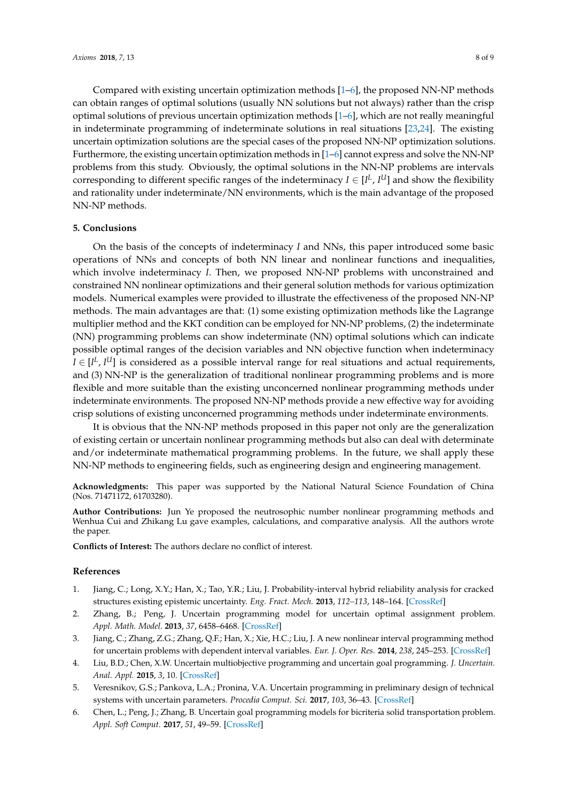Compared with existing uncertain optimization methods [\[1](#page-8-0)[–6\]](#page-8-1), the proposed NN-NP methods can obtain ranges of optimal solutions (usually NN solutions but not always) rather than the crisp optimal solutions of previous uncertain optimization methods [\[1](#page-8-0)[–6\]](#page-8-1), which are not really meaningful in indeterminate programming of indeterminate solutions in real situations [\[23,](#page-9-15)[24\]](#page-9-16). The existing uncertain optimization solutions are the special cases of the proposed NN-NP optimization solutions. Furthermore, the existing uncertain optimization methods in  $[1-6]$  $[1-6]$  cannot express and solve the NN-NP problems from this study. Obviously, the optimal solutions in the NN-NP problems are intervals corresponding to different specific ranges of the indeterminacy  $I \in [I^L, I^U]$  and show the flexibility and rationality under indeterminate/NN environments, which is the main advantage of the proposed NN-NP methods.

#### <span id="page-8-2"></span>**5. Conclusions**

On the basis of the concepts of indeterminacy *I* and NNs, this paper introduced some basic operations of NNs and concepts of both NN linear and nonlinear functions and inequalities, which involve indeterminacy *I*. Then, we proposed NN-NP problems with unconstrained and constrained NN nonlinear optimizations and their general solution methods for various optimization models. Numerical examples were provided to illustrate the effectiveness of the proposed NN-NP methods. The main advantages are that: (1) some existing optimization methods like the Lagrange multiplier method and the KKT condition can be employed for NN-NP problems, (2) the indeterminate (NN) programming problems can show indeterminate (NN) optimal solutions which can indicate possible optimal ranges of the decision variables and NN objective function when indeterminacy *I* ∈ [*I*<sup>L</sup>, *I*<sup>U</sup>] is considered as a possible interval range for real situations and actual requirements, and (3) NN-NP is the generalization of traditional nonlinear programming problems and is more flexible and more suitable than the existing unconcerned nonlinear programming methods under indeterminate environments. The proposed NN-NP methods provide a new effective way for avoiding crisp solutions of existing unconcerned programming methods under indeterminate environments.

It is obvious that the NN-NP methods proposed in this paper not only are the generalization of existing certain or uncertain nonlinear programming methods but also can deal with determinate and/or indeterminate mathematical programming problems. In the future, we shall apply these NN-NP methods to engineering fields, such as engineering design and engineering management.

**Acknowledgments:** This paper was supported by the National Natural Science Foundation of China (Nos. 71471172, 61703280).

**Author Contributions:** Jun Ye proposed the neutrosophic number nonlinear programming methods and Wenhua Cui and Zhikang Lu gave examples, calculations, and comparative analysis. All the authors wrote the paper.

**Conflicts of Interest:** The authors declare no conflict of interest.

#### **References**

- <span id="page-8-0"></span>1. Jiang, C.; Long, X.Y.; Han, X.; Tao, Y.R.; Liu, J. Probability-interval hybrid reliability analysis for cracked structures existing epistemic uncertainty. *Eng. Fract. Mech.* **2013**, *112–113*, 148–164. [\[CrossRef\]](http://dx.doi.org/10.1016/j.engfracmech.2013.10.009)
- 2. Zhang, B.; Peng, J. Uncertain programming model for uncertain optimal assignment problem. *Appl. Math. Model.* **2013**, *37*, 6458–6468. [\[CrossRef\]](http://dx.doi.org/10.1016/j.apm.2013.01.032)
- 3. Jiang, C.; Zhang, Z.G.; Zhang, Q.F.; Han, X.; Xie, H.C.; Liu, J. A new nonlinear interval programming method for uncertain problems with dependent interval variables. *Eur. J. Oper. Res.* **2014**, *238*, 245–253. [\[CrossRef\]](http://dx.doi.org/10.1016/j.ejor.2014.03.029)
- 4. Liu, B.D.; Chen, X.W. Uncertain multiobjective programming and uncertain goal programming. *J. Uncertain. Anal. Appl.* **2015**, *3*, 10. [\[CrossRef\]](http://dx.doi.org/10.1186/s40467-015-0036-6)
- 5. Veresnikov, G.S.; Pankova, L.A.; Pronina, V.A. Uncertain programming in preliminary design of technical systems with uncertain parameters. *Procedia Comput. Sci.* **2017**, *103*, 36–43. [\[CrossRef\]](http://dx.doi.org/10.1016/j.procs.2017.01.007)
- <span id="page-8-1"></span>6. Chen, L.; Peng, J.; Zhang, B. Uncertain goal programming models for bicriteria solid transportation problem. *Appl. Soft Comput.* **2017**, *51*, 49–59. [\[CrossRef\]](http://dx.doi.org/10.1016/j.asoc.2016.11.027)